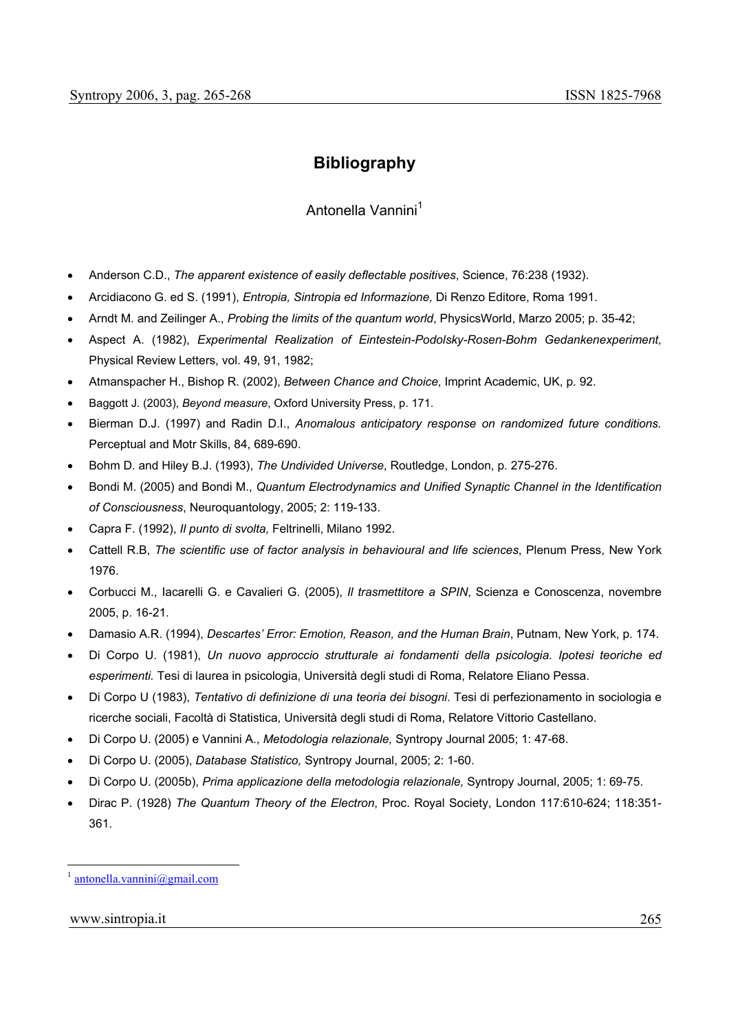## **Bibliography**

## Antonella Vannini<sup>1</sup>

- Anderson C.D., *The apparent existence of easily deflectable positives*, Science, 76:238 (1932).
- Arcidiacono G. ed S. (1991), *Entropia, Sintropia ed Informazione,* Di Renzo Editore, Roma 1991.
- Arndt M. and Zeilinger A., *Probing the limits of the quantum world*, PhysicsWorld, Marzo 2005; p. 35-42;
- Aspect A. (1982), *Experimental Realization of Eintestein-Podolsky-Rosen-Bohm Gedankenexperiment,*  Physical Review Letters, vol. 49, 91, 1982;
- Atmanspacher H., Bishop R. (2002), *Between Chance and Choice*, Imprint Academic, UK, p. 92.
- Baggott J. (2003), *Beyond measure*, Oxford University Press, p. 171.
- Bierman D.J. (1997) and Radin D.I., *Anomalous anticipatory response on randomized future conditions.*  Perceptual and Motr Skills, 84, 689-690.
- Bohm D. and Hiley B.J. (1993), *The Undivided Universe*, Routledge, London, p. 275-276.
- Bondi M. (2005) and Bondi M., *Quantum Electrodynamics and Unified Synaptic Channel in the Identification of Consciousness*, Neuroquantology, 2005; 2: 119-133.
- Capra F. (1992), *Il punto di svolta,* Feltrinelli, Milano 1992.
- Cattell R.B, *The scientific use of factor analysis in behavioural and life sciences*, Plenum Press, New York 1976.
- Corbucci M., Iacarelli G. e Cavalieri G. (2005), *Il trasmettitore a SPIN*, Scienza e Conoscenza, novembre 2005, p. 16-21.
- Damasio A.R. (1994), *Descartes' Error: Emotion, Reason, and the Human Brain*, Putnam, New York, p. 174.
- Di Corpo U. (1981), *Un nuovo approccio strutturale ai fondamenti della psicologia. Ipotesi teoriche ed esperimenti.* Tesi di laurea in psicologia, Università degli studi di Roma, Relatore Eliano Pessa.
- Di Corpo U (1983), *Tentativo di definizione di una teoria dei bisogni*. Tesi di perfezionamento in sociologia e ricerche sociali, Facoltà di Statistica, Università degli studi di Roma, Relatore Vittorio Castellano.
- Di Corpo U. (2005) e Vannini A., *Metodologia relazionale,* Syntropy Journal 2005; 1: 47-68.
- Di Corpo U. (2005), *Database Statistico,* Syntropy Journal, 2005; 2: 1-60.
- Di Corpo U. (2005b), *Prima applicazione della metodologia relazionale,* Syntropy Journal, 2005; 1: 69-75.
- Dirac P. (1928) *The Quantum Theory of the Electron*, Proc. Royal Society, London 117:610-624; 118:351- 361.

## www.sintropia.it 265

antonella.vannini@gmail.com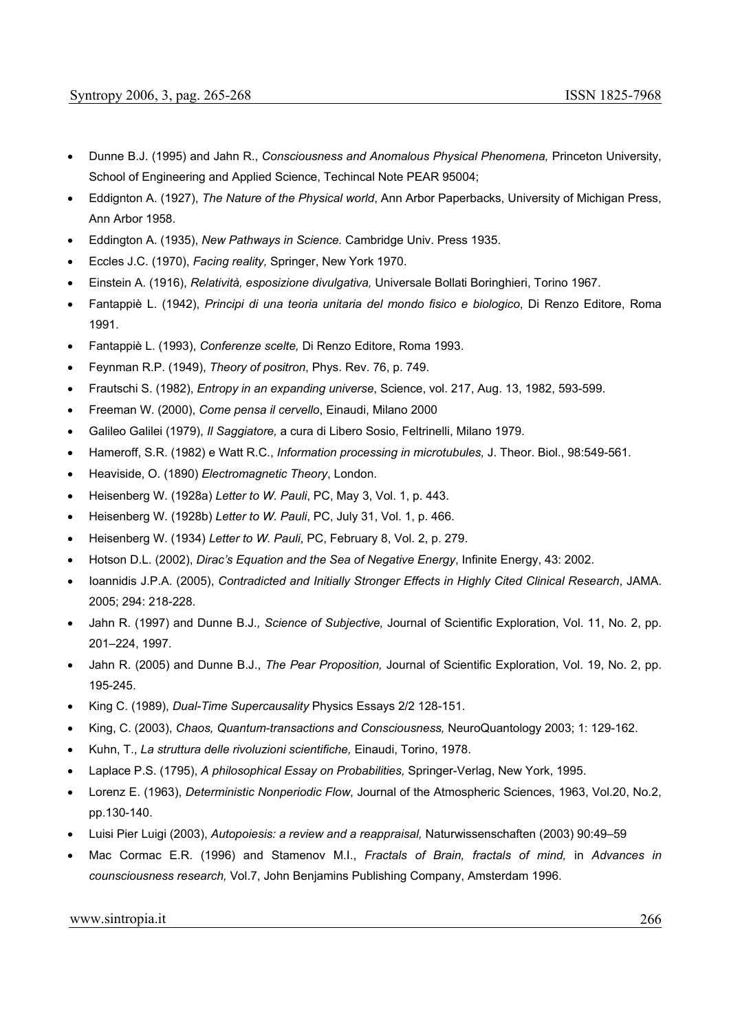- Dunne B.J. (1995) and Jahn R., *Consciousness and Anomalous Physical Phenomena,* Princeton University, School of Engineering and Applied Science, Techincal Note PEAR 95004;
- Eddignton A. (1927), *The Nature of the Physical world*, Ann Arbor Paperbacks, University of Michigan Press, Ann Arbor 1958.
- Eddington A. (1935), *New Pathways in Science.* Cambridge Univ. Press 1935.
- Eccles J.C. (1970), *Facing reality,* Springer, New York 1970.
- Einstein A. (1916), *Relatività, esposizione divulgativa,* Universale Bollati Boringhieri, Torino 1967.
- Fantappiè L. (1942), *Principi di una teoria unitaria del mondo fisico e biologico*, Di Renzo Editore, Roma 1991.
- Fantappiè L. (1993), *Conferenze scelte,* Di Renzo Editore, Roma 1993.
- Feynman R.P. (1949), *Theory of positron*, Phys. Rev. 76, p. 749.
- Frautschi S. (1982), *Entropy in an expanding universe*, Science, vol. 217, Aug. 13, 1982, 593-599.
- Freeman W. (2000), *Come pensa il cervello*, Einaudi, Milano 2000
- Galileo Galilei (1979), *Il Saggiatore,* a cura di Libero Sosio, Feltrinelli, Milano 1979.
- Hameroff, S.R. (1982) e Watt R.C., *Information processing in microtubules,* J. Theor. Biol., 98:549-561.
- Heaviside, O. (1890) *Electromagnetic Theory*, London.
- Heisenberg W. (1928a) *Letter to W. Pauli*, PC, May 3, Vol. 1, p. 443.
- Heisenberg W. (1928b) *Letter to W. Pauli*, PC, July 31, Vol. 1, p. 466.
- Heisenberg W. (1934) *Letter to W. Pauli*, PC, February 8, Vol. 2, p. 279.
- Hotson D.L. (2002), *Dirac's Equation and the Sea of Negative Energy*, Infinite Energy, 43: 2002.
- Ioannidis J.P.A. (2005), *Contradicted and Initially Stronger Effects in Highly Cited Clinical Research*, JAMA. 2005; 294: 218-228.
- Jahn R. (1997) and Dunne B.J.*, Science of Subjective,* Journal of Scientific Exploration, Vol. 11, No. 2, pp. 201–224, 1997.
- Jahn R. (2005) and Dunne B.J., *The Pear Proposition,* Journal of Scientific Exploration, Vol. 19, No. 2, pp. 195-245.
- King C. (1989), *Dual-Time Supercausality* Physics Essays 2/2 128-151.
- King, C. (2003), *Chaos, Quantum-transactions and Consciousness,* NeuroQuantology 2003; 1: 129-162.
- Kuhn, T., *La struttura delle rivoluzioni scientifiche,* Einaudi, Torino, 1978.
- Laplace P.S. (1795), *A philosophical Essay on Probabilities,* Springer-Verlag, New York, 1995.
- Lorenz E. (1963), *Deterministic Nonperiodic Flow*, Journal of the Atmospheric Sciences, 1963, Vol.20, No.2, pp.130-140.
- Luisi Pier Luigi (2003), *Autopoiesis: a review and a reappraisal,* Naturwissenschaften (2003) 90:49–59
- Mac Cormac E.R. (1996) and Stamenov M.I., *Fractals of Brain, fractals of mind,* in *Advances in counsciousness research,* Vol.7, John Benjamins Publishing Company, Amsterdam 1996.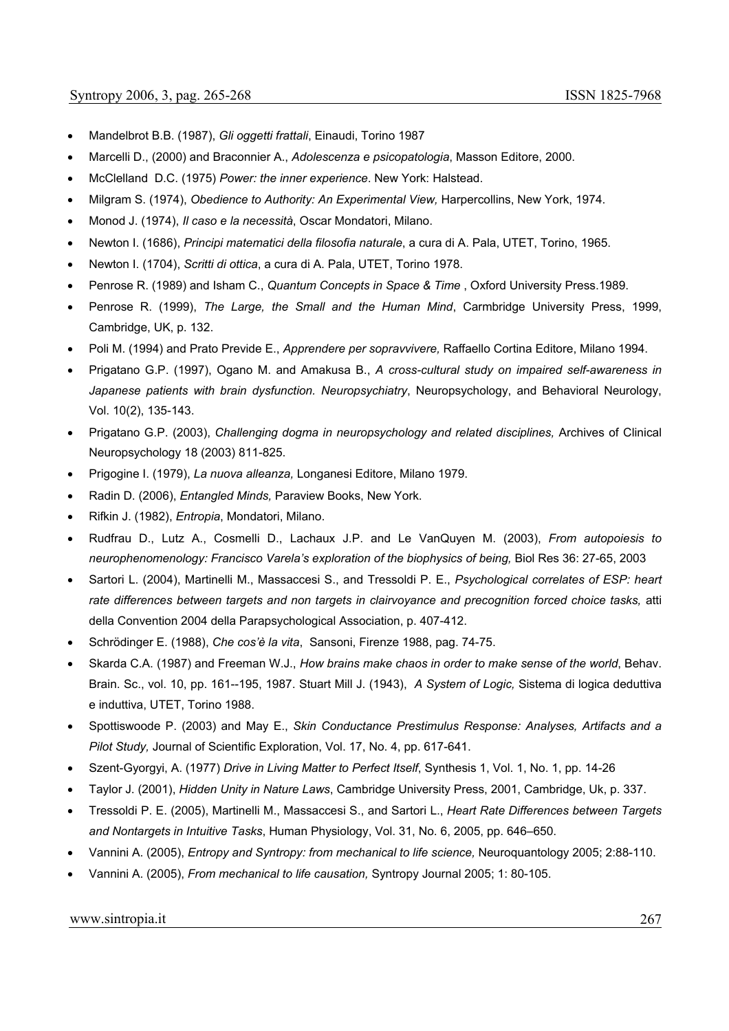- Mandelbrot B.B. (1987), *Gli oggetti frattali*, Einaudi, Torino 1987
- Marcelli D., (2000) and Braconnier A., *Adolescenza e psicopatologia*, Masson Editore, 2000.
- McClelland D.C. (1975) *Power: the inner experience*. New York: Halstead.
- Milgram S. (1974), *Obedience to Authority: An Experimental View*, Harpercollins, New York, 1974.
- Monod J. (1974), *Il caso e la necessità*, Oscar Mondatori, Milano.
- Newton I. (1686), *Principi matematici della filosofia naturale*, a cura di A. Pala, UTET, Torino, 1965.
- Newton I. (1704), *Scritti di ottica*, a cura di A. Pala, UTET, Torino 1978.
- Penrose R. (1989) and Isham C., *Quantum Concepts in Space & Time* , Oxford University Press.1989.
- Penrose R. (1999), *The Large, the Small and the Human Mind*, Carmbridge University Press, 1999, Cambridge, UK, p. 132.
- Poli M. (1994) and Prato Previde E., *Apprendere per sopravvivere,* Raffaello Cortina Editore, Milano 1994.
- Prigatano G.P. (1997), Ogano M. and Amakusa B., *A cross-cultural study on impaired self-awareness in Japanese patients with brain dysfunction. Neuropsychiatry*, Neuropsychology, and Behavioral Neurology, Vol. 10(2), 135-143.
- Prigatano G.P. (2003), *Challenging dogma in neuropsychology and related disciplines,* Archives of Clinical Neuropsychology 18 (2003) 811-825.
- Prigogine I. (1979), *La nuova alleanza,* Longanesi Editore, Milano 1979.
- Radin D. (2006), *Entangled Minds,* Paraview Books, New York.
- Rifkin J. (1982), *Entropia*, Mondatori, Milano.
- Rudfrau D., Lutz A., Cosmelli D., Lachaux J.P. and Le VanQuyen M. (2003), *From autopoiesis to neurophenomenology: Francisco Varela's exploration of the biophysics of being,* Biol Res 36: 27-65, 2003
- Sartori L. (2004), Martinelli M., Massaccesi S., and Tressoldi P. E., *Psychological correlates of ESP: heart*  rate differences between targets and non targets in clairvoyance and precognition forced choice tasks, atti della Convention 2004 della Parapsychological Association, p. 407-412.
- Schrödinger E. (1988), *Che cos'è la vita*, Sansoni, Firenze 1988, pag. 74-75.
- Skarda C.A. (1987) and Freeman W.J., *How brains make chaos in order to make sense of the world*, Behav. Brain. Sc., vol. 10, pp. 161--195, 1987. Stuart Mill J. (1943), *A System of Logic,* Sistema di logica deduttiva e induttiva, UTET, Torino 1988.
- Spottiswoode P. (2003) and May E., *Skin Conductance Prestimulus Response: Analyses, Artifacts and a Pilot Study,* Journal of Scientific Exploration, Vol. 17, No. 4, pp. 617-641.
- Szent-Gyorgyi, A. (1977) *Drive in Living Matter to Perfect Itself*, Synthesis 1, Vol. 1, No. 1, pp. 14-26
- Taylor J. (2001), *Hidden Unity in Nature Laws*, Cambridge University Press, 2001, Cambridge, Uk, p. 337.
- Tressoldi P. E. (2005), Martinelli M., Massaccesi S., and Sartori L., *Heart Rate Differences between Targets and Nontargets in Intuitive Tasks*, Human Physiology, Vol. 31, No. 6, 2005, pp. 646–650.
- Vannini A. (2005), *Entropy and Syntropy: from mechanical to life science,* Neuroquantology 2005; 2:88-110.
- Vannini A. (2005), *From mechanical to life causation,* Syntropy Journal 2005; 1: 80-105.